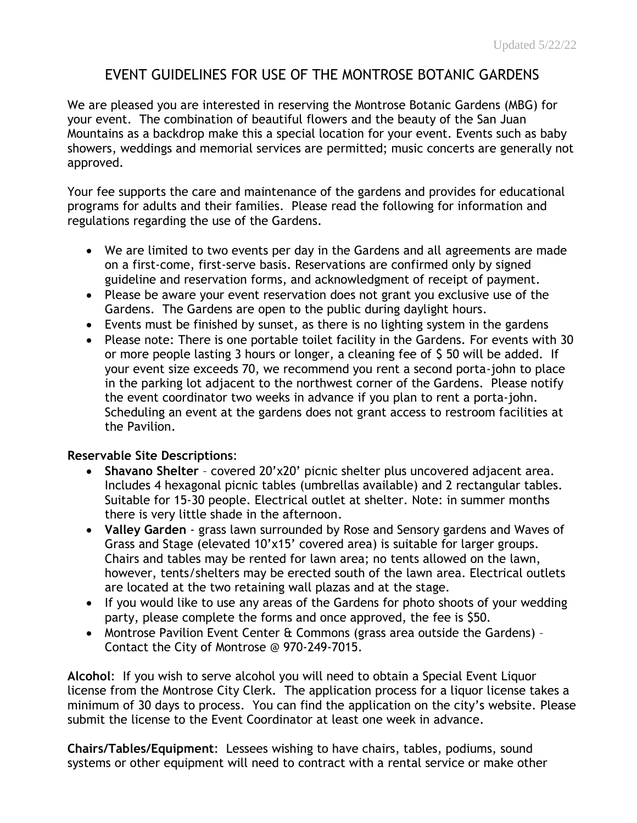# EVENT GUIDELINES FOR USE OF THE MONTROSE BOTANIC GARDENS

We are pleased you are interested in reserving the Montrose Botanic Gardens (MBG) for your event. The combination of beautiful flowers and the beauty of the San Juan Mountains as a backdrop make this a special location for your event. Events such as baby showers, weddings and memorial services are permitted; music concerts are generally not approved.

Your fee supports the care and maintenance of the gardens and provides for educational programs for adults and their families. Please read the following for information and regulations regarding the use of the Gardens.

- We are limited to two events per day in the Gardens and all agreements are made on a first-come, first-serve basis. Reservations are confirmed only by signed guideline and reservation forms, and acknowledgment of receipt of payment.
- Please be aware your event reservation does not grant you exclusive use of the Gardens. The Gardens are open to the public during daylight hours.
- Events must be finished by sunset, as there is no lighting system in the gardens
- Please note: There is one portable toilet facility in the Gardens. For events with 30 or more people lasting 3 hours or longer, a cleaning fee of \$ 50 will be added. If your event size exceeds 70, we recommend you rent a second porta-john to place in the parking lot adjacent to the northwest corner of the Gardens. Please notify the event coordinator two weeks in advance if you plan to rent a porta-john. Scheduling an event at the gardens does not grant access to restroom facilities at the Pavilion.

## **Reservable Site Descriptions**:

- **Shavano Shelter** covered 20'x20' picnic shelter plus uncovered adjacent area. Includes 4 hexagonal picnic tables (umbrellas available) and 2 rectangular tables. Suitable for 15-30 people. Electrical outlet at shelter. Note: in summer months there is very little shade in the afternoon.
- **Valley Garden** grass lawn surrounded by Rose and Sensory gardens and Waves of Grass and Stage (elevated 10'x15' covered area) is suitable for larger groups. Chairs and tables may be rented for lawn area; no tents allowed on the lawn, however, tents/shelters may be erected south of the lawn area. Electrical outlets are located at the two retaining wall plazas and at the stage.
- If you would like to use any areas of the Gardens for photo shoots of your wedding party, please complete the forms and once approved, the fee is \$50.
- Montrose Pavilion Event Center & Commons (grass area outside the Gardens) Contact the City of Montrose @ 970-249-7015.

**Alcohol**: If you wish to serve alcohol you will need to obtain a Special Event Liquor license from the Montrose City Clerk. The application process for a liquor license takes a minimum of 30 days to process. You can find the application on the city's website. Please submit the license to the Event Coordinator at least one week in advance.

**Chairs/Tables/Equipment**: Lessees wishing to have chairs, tables, podiums, sound systems or other equipment will need to contract with a rental service or make other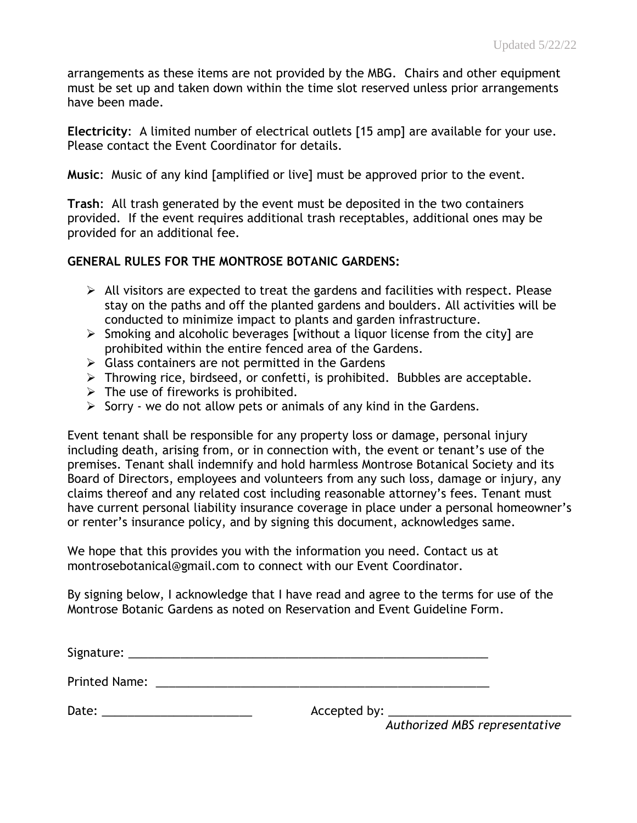arrangements as these items are not provided by the MBG. Chairs and other equipment must be set up and taken down within the time slot reserved unless prior arrangements have been made.

**Electricity**: A limited number of electrical outlets [15 amp] are available for your use. Please contact the Event Coordinator for details.

**Music**: Music of any kind [amplified or live] must be approved prior to the event.

**Trash**: All trash generated by the event must be deposited in the two containers provided. If the event requires additional trash receptables, additional ones may be provided for an additional fee.

## **GENERAL RULES FOR THE MONTROSE BOTANIC GARDENS:**

- $\triangleright$  All visitors are expected to treat the gardens and facilities with respect. Please stay on the paths and off the planted gardens and boulders. All activities will be conducted to minimize impact to plants and garden infrastructure.
- ➢ Smoking and alcoholic beverages [without a liquor license from the city] are prohibited within the entire fenced area of the Gardens.
- $\triangleright$  Glass containers are not permitted in the Gardens
- ➢ Throwing rice, birdseed, or confetti, is prohibited. Bubbles are acceptable.
- $\triangleright$  The use of fireworks is prohibited.
- $\triangleright$  Sorry we do not allow pets or animals of any kind in the Gardens.

Event tenant shall be responsible for any property loss or damage, personal injury including death, arising from, or in connection with, the event or tenant's use of the premises. Tenant shall indemnify and hold harmless Montrose Botanical Society and its Board of Directors, employees and volunteers from any such loss, damage or injury, any claims thereof and any related cost including reasonable attorney's fees. Tenant must have current personal liability insurance coverage in place under a personal homeowner's or renter's insurance policy, and by signing this document, acknowledges same.

We hope that this provides you with the information you need. Contact us at montrosebotanical@gmail.com to connect with our Event Coordinator.

By signing below, I acknowledge that I have read and agree to the terms for use of the Montrose Botanic Gardens as noted on Reservation and Event Guideline Form.

| Signature: |  |  |  |  |
|------------|--|--|--|--|
|            |  |  |  |  |

Printed Name: <u>and the set of the set of the set of the set of the set of the set of the set of the set of the set of the set of the set of the set of the set of the set of the set of the set of the set of the set of the s</u>

Date: \_\_\_\_\_\_\_\_\_\_\_\_\_\_\_\_\_\_\_\_\_\_\_ Accepted by: \_\_\_\_\_\_\_\_\_\_\_\_\_\_\_\_\_\_\_\_\_\_\_\_\_\_\_\_

 *Authorized MBS representative*